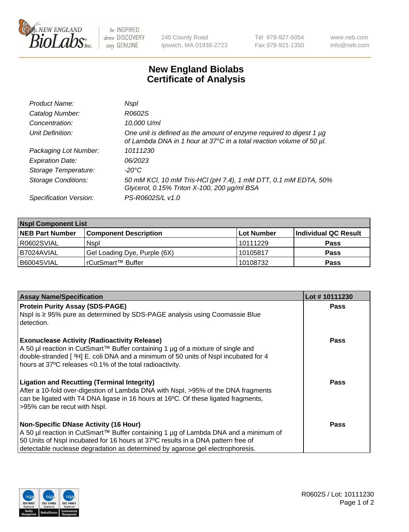

be INSPIRED drive DISCOVERY stay GENUINE

240 County Road Ipswich, MA 01938-2723 Tel 978-927-5054 Fax 978-921-1350 www.neb.com info@neb.com

## **New England Biolabs Certificate of Analysis**

| Product Name:              | Nspl                                                                                                                                        |
|----------------------------|---------------------------------------------------------------------------------------------------------------------------------------------|
| Catalog Number:            | R0602S                                                                                                                                      |
| Concentration:             | 10,000 U/ml                                                                                                                                 |
| Unit Definition:           | One unit is defined as the amount of enzyme required to digest 1 µg<br>of Lambda DNA in 1 hour at 37°C in a total reaction volume of 50 µl. |
| Packaging Lot Number:      | 10111230                                                                                                                                    |
| <b>Expiration Date:</b>    | 06/2023                                                                                                                                     |
| Storage Temperature:       | -20°C                                                                                                                                       |
| <b>Storage Conditions:</b> | 50 mM KCl, 10 mM Tris-HCl (pH 7.4), 1 mM DTT, 0.1 mM EDTA, 50%<br>Glycerol, 0.15% Triton X-100, 200 µg/ml BSA                               |
| Specification Version:     | PS-R0602S/L v1.0                                                                                                                            |

| <b>Nspl Component List</b> |                              |                   |                      |  |  |
|----------------------------|------------------------------|-------------------|----------------------|--|--|
| <b>NEB Part Number</b>     | <b>Component Description</b> | <b>Lot Number</b> | Individual QC Result |  |  |
| R0602SVIAL                 | <b>Nspl</b>                  | 10111229          | <b>Pass</b>          |  |  |
| I B7024AVIAL               | Gel Loading Dye, Purple (6X) | 10105817          | Pass                 |  |  |
| B6004SVIAL                 | rCutSmart™ Buffer            | 10108732          | Pass                 |  |  |

| <b>Assay Name/Specification</b>                                                                                                                                                                                                                                                                          | Lot #10111230 |
|----------------------------------------------------------------------------------------------------------------------------------------------------------------------------------------------------------------------------------------------------------------------------------------------------------|---------------|
| <b>Protein Purity Assay (SDS-PAGE)</b>                                                                                                                                                                                                                                                                   | <b>Pass</b>   |
| Nspl is ≥ 95% pure as determined by SDS-PAGE analysis using Coomassie Blue<br>detection.                                                                                                                                                                                                                 |               |
| <b>Exonuclease Activity (Radioactivity Release)</b><br>A 50 µl reaction in CutSmart™ Buffer containing 1 µg of a mixture of single and<br>double-stranded [3H] E. coli DNA and a minimum of 50 units of Nspl incubated for 4<br>hours at 37°C releases <0.1% of the total radioactivity.                 | Pass          |
| <b>Ligation and Recutting (Terminal Integrity)</b><br>After a 10-fold over-digestion of Lambda DNA with Nspl, >95% of the DNA fragments<br>can be ligated with T4 DNA ligase in 16 hours at 16°C. Of these ligated fragments,<br>>95% can be recut with Nspl.                                            | Pass          |
| <b>Non-Specific DNase Activity (16 Hour)</b><br>A 50 µl reaction in CutSmart™ Buffer containing 1 µg of Lambda DNA and a minimum of<br>50 Units of Nspl incubated for 16 hours at 37°C results in a DNA pattern free of<br>detectable nuclease degradation as determined by agarose gel electrophoresis. | <b>Pass</b>   |